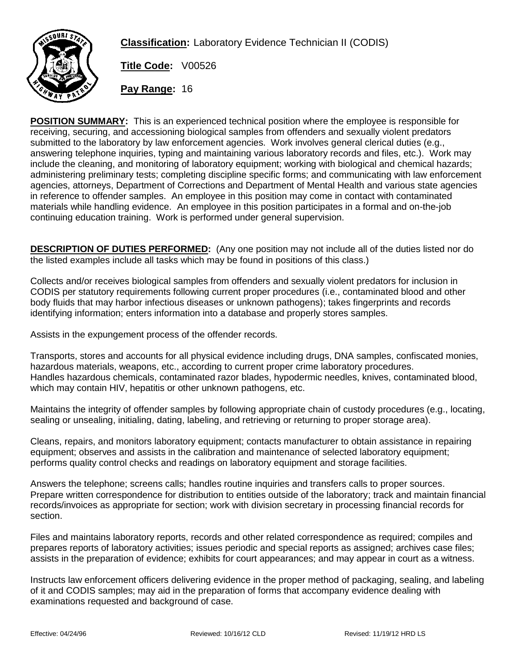

**Classification:** Laboratory Evidence Technician II (CODIS)

**Title Code:** V00526

**Pay Range:** 16

**POSITION SUMMARY:** This is an experienced technical position where the employee is responsible for receiving, securing, and accessioning biological samples from offenders and sexually violent predators submitted to the laboratory by law enforcement agencies. Work involves general clerical duties (e.g., answering telephone inquiries, typing and maintaining various laboratory records and files, etc.). Work may include the cleaning, and monitoring of laboratory equipment; working with biological and chemical hazards; administering preliminary tests; completing discipline specific forms; and communicating with law enforcement agencies, attorneys, Department of Corrections and Department of Mental Health and various state agencies in reference to offender samples. An employee in this position may come in contact with contaminated materials while handling evidence. An employee in this position participates in a formal and on-the-job continuing education training. Work is performed under general supervision.

**DESCRIPTION OF DUTIES PERFORMED:** (Any one position may not include all of the duties listed nor do the listed examples include all tasks which may be found in positions of this class.)

Collects and/or receives biological samples from offenders and sexually violent predators for inclusion in CODIS per statutory requirements following current proper procedures (i.e., contaminated blood and other body fluids that may harbor infectious diseases or unknown pathogens); takes fingerprints and records identifying information; enters information into a database and properly stores samples.

Assists in the expungement process of the offender records.

Transports, stores and accounts for all physical evidence including drugs, DNA samples, confiscated monies, hazardous materials, weapons, etc., according to current proper crime laboratory procedures. Handles hazardous chemicals, contaminated razor blades, hypodermic needles, knives, contaminated blood, which may contain HIV, hepatitis or other unknown pathogens, etc.

Maintains the integrity of offender samples by following appropriate chain of custody procedures (e.g., locating, sealing or unsealing, initialing, dating, labeling, and retrieving or returning to proper storage area).

Cleans, repairs, and monitors laboratory equipment; contacts manufacturer to obtain assistance in repairing equipment; observes and assists in the calibration and maintenance of selected laboratory equipment; performs quality control checks and readings on laboratory equipment and storage facilities.

Answers the telephone; screens calls; handles routine inquiries and transfers calls to proper sources. Prepare written correspondence for distribution to entities outside of the laboratory; track and maintain financial records/invoices as appropriate for section; work with division secretary in processing financial records for section.

Files and maintains laboratory reports, records and other related correspondence as required; compiles and prepares reports of laboratory activities; issues periodic and special reports as assigned; archives case files; assists in the preparation of evidence; exhibits for court appearances; and may appear in court as a witness.

Instructs law enforcement officers delivering evidence in the proper method of packaging, sealing, and labeling of it and CODIS samples; may aid in the preparation of forms that accompany evidence dealing with examinations requested and background of case.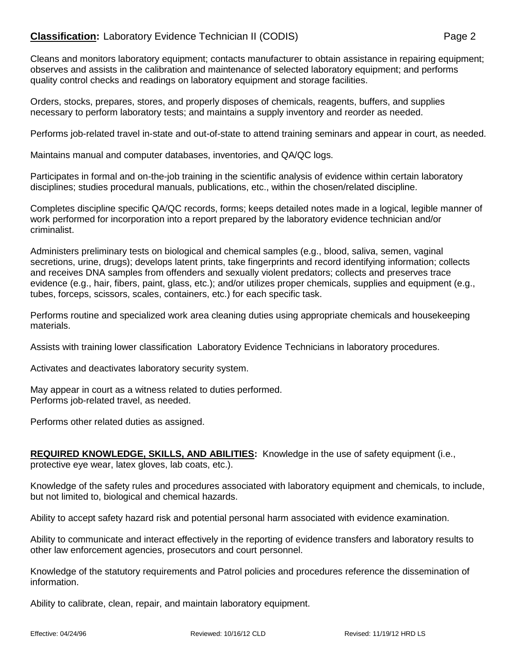## **Classification:** Laboratory Evidence Technician II (CODIS) Page 2

Cleans and monitors laboratory equipment; contacts manufacturer to obtain assistance in repairing equipment; observes and assists in the calibration and maintenance of selected laboratory equipment; and performs quality control checks and readings on laboratory equipment and storage facilities.

Orders, stocks, prepares, stores, and properly disposes of chemicals, reagents, buffers, and supplies necessary to perform laboratory tests; and maintains a supply inventory and reorder as needed.

Performs job-related travel in-state and out-of-state to attend training seminars and appear in court, as needed.

Maintains manual and computer databases, inventories, and QA/QC logs.

Participates in formal and on-the-job training in the scientific analysis of evidence within certain laboratory disciplines; studies procedural manuals, publications, etc., within the chosen/related discipline.

Completes discipline specific QA/QC records, forms; keeps detailed notes made in a logical, legible manner of work performed for incorporation into a report prepared by the laboratory evidence technician and/or criminalist.

Administers preliminary tests on biological and chemical samples (e.g., blood, saliva, semen, vaginal secretions, urine, drugs); develops latent prints, take fingerprints and record identifying information; collects and receives DNA samples from offenders and sexually violent predators; collects and preserves trace evidence (e.g., hair, fibers, paint, glass, etc.); and/or utilizes proper chemicals, supplies and equipment (e.g., tubes, forceps, scissors, scales, containers, etc.) for each specific task.

Performs routine and specialized work area cleaning duties using appropriate chemicals and housekeeping materials.

Assists with training lower classification Laboratory Evidence Technicians in laboratory procedures.

Activates and deactivates laboratory security system.

May appear in court as a witness related to duties performed. Performs job-related travel, as needed.

Performs other related duties as assigned.

**REQUIRED KNOWLEDGE, SKILLS, AND ABILITIES:** Knowledge in the use of safety equipment (i.e., protective eye wear, latex gloves, lab coats, etc.).

Knowledge of the safety rules and procedures associated with laboratory equipment and chemicals, to include, but not limited to, biological and chemical hazards.

Ability to accept safety hazard risk and potential personal harm associated with evidence examination.

Ability to communicate and interact effectively in the reporting of evidence transfers and laboratory results to other law enforcement agencies, prosecutors and court personnel.

Knowledge of the statutory requirements and Patrol policies and procedures reference the dissemination of information.

Ability to calibrate, clean, repair, and maintain laboratory equipment.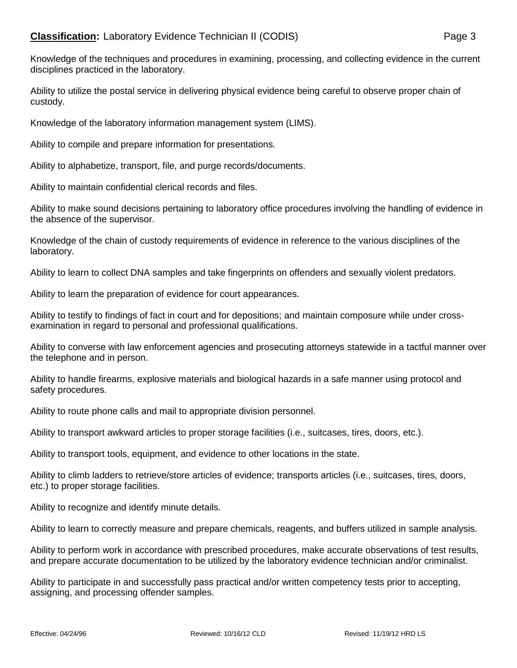Ability to utilize the postal service in delivering physical evidence being careful to observe proper chain of custody.

Knowledge of the laboratory information management system (LIMS).

Ability to compile and prepare information for presentations.

Ability to alphabetize, transport, file, and purge records/documents.

Ability to maintain confidential clerical records and files.

Ability to make sound decisions pertaining to laboratory office procedures involving the handling of evidence in the absence of the supervisor.

Knowledge of the chain of custody requirements of evidence in reference to the various disciplines of the laboratory.

Ability to learn to collect DNA samples and take fingerprints on offenders and sexually violent predators.

Ability to learn the preparation of evidence for court appearances.

Ability to testify to findings of fact in court and for depositions; and maintain composure while under crossexamination in regard to personal and professional qualifications.

Ability to converse with law enforcement agencies and prosecuting attorneys statewide in a tactful manner over the telephone and in person.

Ability to handle firearms, explosive materials and biological hazards in a safe manner using protocol and safety procedures.

Ability to route phone calls and mail to appropriate division personnel.

Ability to transport awkward articles to proper storage facilities (i.e., suitcases, tires, doors, etc.).

Ability to transport tools, equipment, and evidence to other locations in the state.

Ability to climb ladders to retrieve/store articles of evidence; transports articles (i.e., suitcases, tires, doors, etc.) to proper storage facilities.

Ability to recognize and identify minute details.

Ability to learn to correctly measure and prepare chemicals, reagents, and buffers utilized in sample analysis.

Ability to perform work in accordance with prescribed procedures, make accurate observations of test results, and prepare accurate documentation to be utilized by the laboratory evidence technician and/or criminalist.

Ability to participate in and successfully pass practical and/or written competency tests prior to accepting, assigning, and processing offender samples.